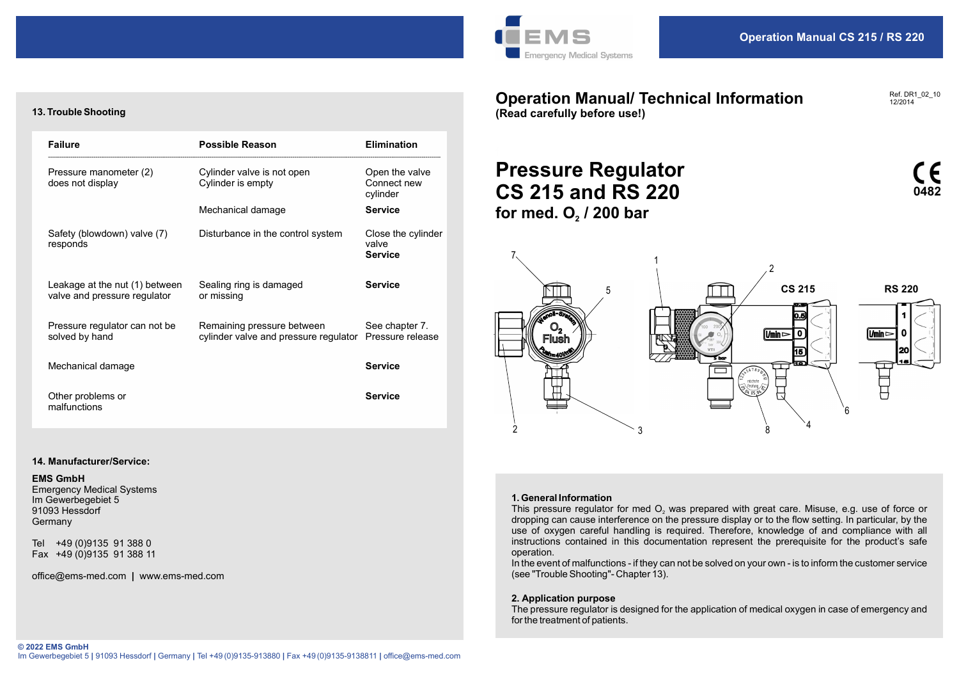

Operation Manual/ Technical Information

### Ref. DR1\_02\_10 12/2014

13. Trouble Shooting

| <b>Failure</b>                                                            | <b>Possible Reason</b>                                                                                                | <b>Elimination</b>                            |                                                                                                                                                                                      |
|---------------------------------------------------------------------------|-----------------------------------------------------------------------------------------------------------------------|-----------------------------------------------|--------------------------------------------------------------------------------------------------------------------------------------------------------------------------------------|
| Pressure manometer (2)<br>does not display                                | Cylinder valve is not open<br>Cylinder is empty                                                                       | Open the valve<br>Connect new<br>cylinder     | <b>Pressure Regulator</b><br><b>CS 215 and RS 220</b>                                                                                                                                |
|                                                                           | Mechanical damage                                                                                                     | <b>Service</b>                                | for med. $O2$ / 200 bar                                                                                                                                                              |
| Safety (blowdown) valve (7)<br>responds                                   | Disturbance in the control system                                                                                     | Close the cylinder<br>valve<br><b>Service</b> |                                                                                                                                                                                      |
| Leakage at the nut (1) between<br>valve and pressure regulator            | Sealing ring is damaged<br>or missing                                                                                 | <b>Service</b>                                | <b>CS 215</b><br>5                                                                                                                                                                   |
| Pressure regulator can not be<br>solved by hand                           | Remaining pressure between<br>cylinder valve and pressure regulator Pressure release                                  | See chapter 7.                                | <u> ប</u><br>(Umin ⊳<br>$\mathbf 0$<br>Flush<br>15                                                                                                                                   |
| Mechanical damage                                                         |                                                                                                                       | <b>Service</b>                                |                                                                                                                                                                                      |
| Other problems or<br>malfunctions                                         |                                                                                                                       | <b>Service</b>                                |                                                                                                                                                                                      |
| 14. Manufacturer/Service:                                                 |                                                                                                                       |                                               | 3                                                                                                                                                                                    |
| <b>EMS GmbH</b><br><b>Emergency Medical Systems</b><br>Im Gewerbegebiet 5 |                                                                                                                       |                                               | 1. General Information                                                                                                                                                               |
| 91093 Hessdorf<br>Germany                                                 |                                                                                                                       |                                               | This pressure regulator for med $O2$ was prepared with great care. Misuse, e.g. use<br>dropping can cause interference on the pressure display or to the flow setting. In parti      |
| Tel +49 (0)9135 91 388 0<br>Fax +49 (0)9135 91 388 11                     |                                                                                                                       |                                               | use of oxygen careful handling is required. Therefore, knowledge of and complia<br>instructions contained in this documentation represent the prerequisite for the pro<br>operation. |
| office@ems-med.com   www.ems-med.com                                      |                                                                                                                       |                                               | In the event of malfunctions - if they can not be solved on your own - is to inform the custo<br>(see "Trouble Shooting"- Chapter 13).                                               |
|                                                                           |                                                                                                                       |                                               | 2. Application purpose<br>The pressure regulator is designed for the application of medical oxygen in case of em<br>for the treatment of patients.                                   |
| © 2022 EMS GmbH                                                           | lm Gewerbegebiet 5   91093 Hessdorf   Germany   Tel +49 (0)9135-913880   Fax +49 (0)9135-9138811   office@ems-med.com |                                               |                                                                                                                                                                                      |
|                                                                           |                                                                                                                       |                                               |                                                                                                                                                                                      |

# 14. Manufacturer/Service:

### EMS GmbH

(Read carefully before use!)

# for med.  $O<sub>2</sub>$  / 200 bar



### 1. General Information

dropping can cause interference on the pressure display or to the flow setting. In particular, by the use of oxygen careful handling is required. Therefore, knowledge of and compliance with all instructions contained in this documentation represent the prerequisite for the product's safe operation. This pressure regulator for med O<sub>2</sub> was prepared with great care. Misuse, e.g. use of force or

In the event of malfunctions - if they can not be solved on your own - is to inform the customer service (see "Trouble Shooting"- Chapter 13).

### 2. Application purpose

The pressure regulator is designed for the application of medical oxygen in case of emergency and for the treatment of patients.